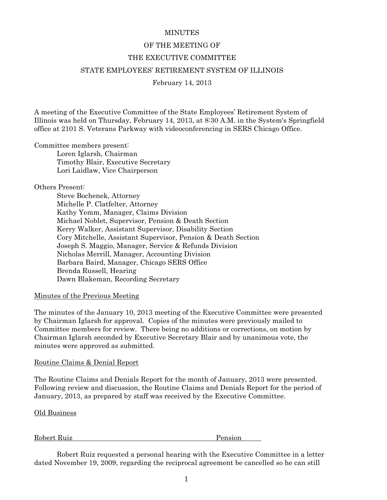# **MINUTES**

# OF THE MEETING OF THE EXECUTIVE COMMITTEE STATE EMPLOYEES' RETIREMENT SYSTEM OF ILLINOIS February 14, 2013

A meeting of the Executive Committee of the State Employees' Retirement System of Illinois was held on Thursday, February 14, 2013, at 8:30 A.M. in the System's Springfield office at 2101 S. Veterans Parkway with videoconferencing in SERS Chicago Office.

Committee members present:

 Loren Iglarsh, Chairman Timothy Blair, Executive Secretary Lori Laidlaw, Vice Chairperson

# Others Present:

 Steve Bochenek, Attorney Michelle P. Clatfelter, Attorney Kathy Yemm, Manager, Claims Division Michael Noblet, Supervisor, Pension & Death Section Kerry Walker, Assistant Supervisor, Disability Section Cory Mitchelle, Assistant Supervisor, Pension & Death Section Joseph S. Maggio, Manager, Service & Refunds Division Nicholas Merrill, Manager, Accounting Division Barbara Baird, Manager, Chicago SERS Office Brenda Russell, Hearing Dawn Blakeman, Recording Secretary

### Minutes of the Previous Meeting

The minutes of the January 10, 2013 meeting of the Executive Committee were presented by Chairman Iglarsh for approval. Copies of the minutes were previously mailed to Committee members for review. There being no additions or corrections, on motion by Chairman Iglarsh seconded by Executive Secretary Blair and by unanimous vote, the minutes were approved as submitted.

### Routine Claims & Denial Report

The Routine Claims and Denials Report for the month of January, 2013 were presented. Following review and discussion, the Routine Claims and Denials Report for the period of January, 2013, as prepared by staff was received by the Executive Committee.

Old Business

Robert Ruiz Pension

 Robert Ruiz requested a personal hearing with the Executive Committee in a letter dated November 19, 2009, regarding the reciprocal agreement be cancelled so he can still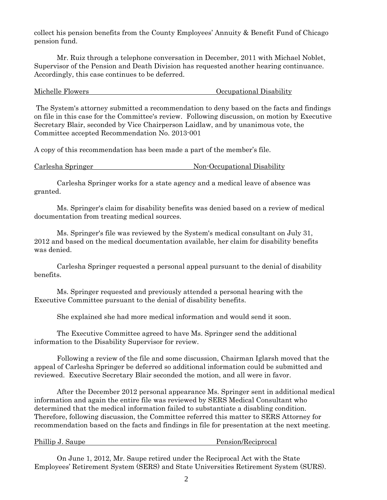collect his pension benefits from the County Employees' Annuity & Benefit Fund of Chicago pension fund.

 Mr. Ruiz through a telephone conversation in December, 2011 with Michael Noblet, Supervisor of the Pension and Death Division has requested another hearing continuance. Accordingly, this case continues to be deferred.

Michelle Flowers Occupational Disability

 The System's attorney submitted a recommendation to deny based on the facts and findings on file in this case for the Committee's review. Following discussion, on motion by Executive Secretary Blair, seconded by Vice Chairperson Laidlaw, and by unanimous vote, the Committee accepted Recommendation No. 2013-001

A copy of this recommendation has been made a part of the member's file.

| Carlesha Springer<br>Non-Occupational Disability |
|--------------------------------------------------|
|--------------------------------------------------|

 Carlesha Springer works for a state agency and a medical leave of absence was granted.

 Ms. Springer's claim for disability benefits was denied based on a review of medical documentation from treating medical sources.

 Ms. Springer's file was reviewed by the System's medical consultant on July 31, 2012 and based on the medical documentation available, her claim for disability benefits was denied.

 Carlesha Springer requested a personal appeal pursuant to the denial of disability benefits.

 Ms. Springer requested and previously attended a personal hearing with the Executive Committee pursuant to the denial of disability benefits.

She explained she had more medical information and would send it soon.

 The Executive Committee agreed to have Ms. Springer send the additional information to the Disability Supervisor for review.

 Following a review of the file and some discussion, Chairman Iglarsh moved that the appeal of Carlesha Springer be deferred so additional information could be submitted and reviewed. Executive Secretary Blair seconded the motion, and all were in favor.

 After the December 2012 personal appearance Ms. Springer sent in additional medical information and again the entire file was reviewed by SERS Medical Consultant who determined that the medical information failed to substantiate a disabling condition. Therefore, following discussion, the Committee referred this matter to SERS Attorney for recommendation based on the facts and findings in file for presentation at the next meeting.

#### Phillip J. Saupe Pension/Reciprocal

 On June 1, 2012, Mr. Saupe retired under the Reciprocal Act with the State Employees' Retirement System (SERS) and State Universities Retirement System (SURS).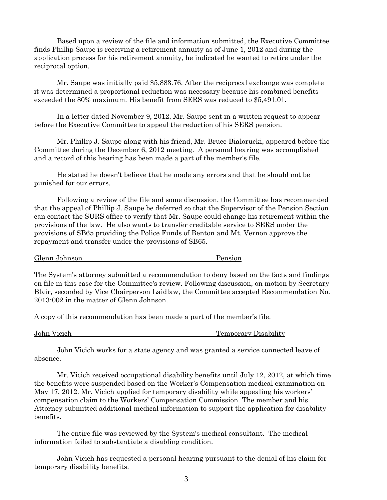Based upon a review of the file and information submitted, the Executive Committee finds Phillip Saupe is receiving a retirement annuity as of June 1, 2012 and during the application process for his retirement annuity, he indicated he wanted to retire under the reciprocal option.

 Mr. Saupe was initially paid \$5,883.76. After the reciprocal exchange was complete it was determined a proportional reduction was necessary because his combined benefits exceeded the 80% maximum. His benefit from SERS was reduced to \$5,491.01.

 In a letter dated November 9, 2012, Mr. Saupe sent in a written request to appear before the Executive Committee to appeal the reduction of his SERS pension.

 Mr. Phillip J. Saupe along with his friend, Mr. Bruce Bialorucki, appeared before the Committee during the December 6, 2012 meeting. A personal hearing was accomplished and a record of this hearing has been made a part of the member's file.

 He stated he doesn't believe that he made any errors and that he should not be punished for our errors.

 Following a review of the file and some discussion, the Committee has recommended that the appeal of Phillip J. Saupe be deferred so that the Supervisor of the Pension Section can contact the SURS office to verify that Mr. Saupe could change his retirement within the provisions of the law. He also wants to transfer creditable service to SERS under the provisions of SB65 providing the Police Funds of Benton and Mt. Vernon approve the repayment and transfer under the provisions of SB65.

Glenn Johnson Pension

The System's attorney submitted a recommendation to deny based on the facts and findings on file in this case for the Committee's review. Following discussion, on motion by Secretary Blair, seconded by Vice Chairperson Laidlaw, the Committee accepted Recommendation No. 2013-002 in the matter of Glenn Johnson.

A copy of this recommendation has been made a part of the member's file.

John Vicich Temporary Disability

 John Vicich works for a state agency and was granted a service connected leave of absence.

 Mr. Vicich received occupational disability benefits until July 12, 2012, at which time the benefits were suspended based on the Worker's Compensation medical examination on May 17, 2012. Mr. Vicich applied for temporary disability while appealing his workers' compensation claim to the Workers' Compensation Commission. The member and his Attorney submitted additional medical information to support the application for disability benefits.

 The entire file was reviewed by the System's medical consultant. The medical information failed to substantiate a disabling condition.

 John Vicich has requested a personal hearing pursuant to the denial of his claim for temporary disability benefits.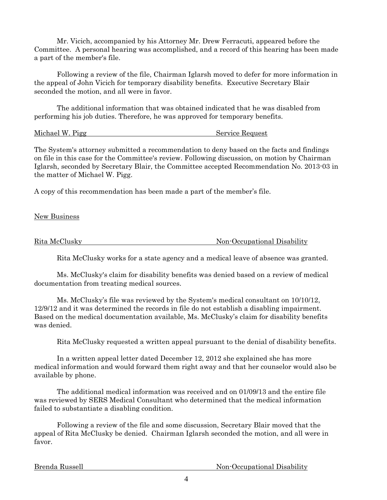Mr. Vicich, accompanied by his Attorney Mr. Drew Ferracuti, appeared before the Committee. A personal hearing was accomplished, and a record of this hearing has been made a part of the member's file.

 Following a review of the file, Chairman Iglarsh moved to defer for more information in the appeal of John Vicich for temporary disability benefits. Executive Secretary Blair seconded the motion, and all were in favor.

 The additional information that was obtained indicated that he was disabled from performing his job duties. Therefore, he was approved for temporary benefits.

| Michael W. Pigg | Service Request |  |
|-----------------|-----------------|--|
|                 |                 |  |

The System's attorney submitted a recommendation to deny based on the facts and findings on file in this case for the Committee's review. Following discussion, on motion by Chairman Iglarsh, seconded by Secretary Blair, the Committee accepted Recommendation No. 2013-03 in the matter of Michael W. Pigg.

A copy of this recommendation has been made a part of the member's file.

New Business

Rita McClusky Non-Occupational Disability

Rita McClusky works for a state agency and a medical leave of absence was granted.

 Ms. McClusky's claim for disability benefits was denied based on a review of medical documentation from treating medical sources.

 Ms. McClusky's file was reviewed by the System's medical consultant on 10/10/12, 12/9/12 and it was determined the records in file do not establish a disabling impairment. Based on the medical documentation available, Ms. McClusky's claim for disability benefits was denied.

Rita McClusky requested a written appeal pursuant to the denial of disability benefits.

 In a written appeal letter dated December 12, 2012 she explained she has more medical information and would forward them right away and that her counselor would also be available by phone.

 The additional medical information was received and on 01/09/13 and the entire file was reviewed by SERS Medical Consultant who determined that the medical information failed to substantiate a disabling condition.

 Following a review of the file and some discussion, Secretary Blair moved that the appeal of Rita McClusky be denied. Chairman Iglarsh seconded the motion, and all were in favor.

Brenda Russell Non-Occupational Disability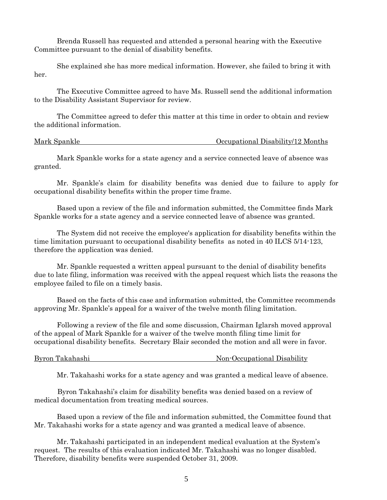Brenda Russell has requested and attended a personal hearing with the Executive Committee pursuant to the denial of disability benefits.

 She explained she has more medical information. However, she failed to bring it with her.

 The Executive Committee agreed to have Ms. Russell send the additional information to the Disability Assistant Supervisor for review.

 The Committee agreed to defer this matter at this time in order to obtain and review the additional information.

Mark Spankle Occupational Disability/12 Months

 Mark Spankle works for a state agency and a service connected leave of absence was granted.

 Mr. Spankle's claim for disability benefits was denied due to failure to apply for occupational disability benefits within the proper time frame.

 Based upon a review of the file and information submitted, the Committee finds Mark Spankle works for a state agency and a service connected leave of absence was granted.

 The System did not receive the employee's application for disability benefits within the time limitation pursuant to occupational disability benefits as noted in 40 ILCS 5/14-123, therefore the application was denied.

 Mr. Spankle requested a written appeal pursuant to the denial of disability benefits due to late filing, information was received with the appeal request which lists the reasons the employee failed to file on a timely basis.

 Based on the facts of this case and information submitted, the Committee recommends approving Mr. Spankle's appeal for a waiver of the twelve month filing limitation.

 Following a review of the file and some discussion, Chairman Iglarsh moved approval of the appeal of Mark Spankle for a waiver of the twelve month filing time limit for occupational disability benefits. Secretary Blair seconded the motion and all were in favor.

Byron Takahashi Non-Occupational Disability

Mr. Takahashi works for a state agency and was granted a medical leave of absence.

 Byron Takahashi's claim for disability benefits was denied based on a review of medical documentation from treating medical sources.

 Based upon a review of the file and information submitted, the Committee found that Mr. Takahashi works for a state agency and was granted a medical leave of absence.

 Mr. Takahashi participated in an independent medical evaluation at the System's request. The results of this evaluation indicated Mr. Takahashi was no longer disabled. Therefore, disability benefits were suspended October 31, 2009.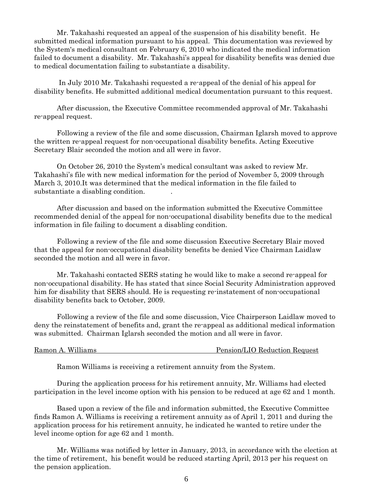Mr. Takahashi requested an appeal of the suspension of his disability benefit. He submitted medical information pursuant to his appeal. This documentation was reviewed by the System's medical consultant on February 6, 2010 who indicated the medical information failed to document a disability. Mr. Takahashi's appeal for disability benefits was denied due to medical documentation failing to substantiate a disability.

 In July 2010 Mr. Takahashi requested a re-appeal of the denial of his appeal for disability benefits. He submitted additional medical documentation pursuant to this request.

 After discussion, the Executive Committee recommended approval of Mr. Takahashi re-appeal request.

 Following a review of the file and some discussion, Chairman Iglarsh moved to approve the written re-appeal request for non-occupational disability benefits. Acting Executive Secretary Blair seconded the motion and all were in favor.

 On October 26, 2010 the System's medical consultant was asked to review Mr. Takahashi's file with new medical information for the period of November 5, 2009 through March 3, 2010.It was determined that the medical information in the file failed to substantiate a disabling condition. .

 After discussion and based on the information submitted the Executive Committee recommended denial of the appeal for non-occupational disability benefits due to the medical information in file failing to document a disabling condition.

 Following a review of the file and some discussion Executive Secretary Blair moved that the appeal for non-occupational disability benefits be denied Vice Chairman Laidlaw seconded the motion and all were in favor.

 Mr. Takahashi contacted SERS stating he would like to make a second re-appeal for non-occupational disability. He has stated that since Social Security Administration approved him for disability that SERS should. He is requesting re-instatement of non-occupational disability benefits back to October, 2009.

 Following a review of the file and some discussion, Vice Chairperson Laidlaw moved to deny the reinstatement of benefits and, grant the re-appeal as additional medical information was submitted. Chairman Iglarsh seconded the motion and all were in favor.

Ramon A. Williams Pension/LIO Reduction Request

Ramon Williams is receiving a retirement annuity from the System.

 During the application process for his retirement annuity, Mr. Williams had elected participation in the level income option with his pension to be reduced at age 62 and 1 month.

 Based upon a review of the file and information submitted, the Executive Committee finds Ramon A. Williams is receiving a retirement annuity as of April 1, 2011 and during the application process for his retirement annuity, he indicated he wanted to retire under the level income option for age 62 and 1 month.

 Mr. Williams was notified by letter in January, 2013, in accordance with the election at the time of retirement, his benefit would be reduced starting April, 2013 per his request on the pension application.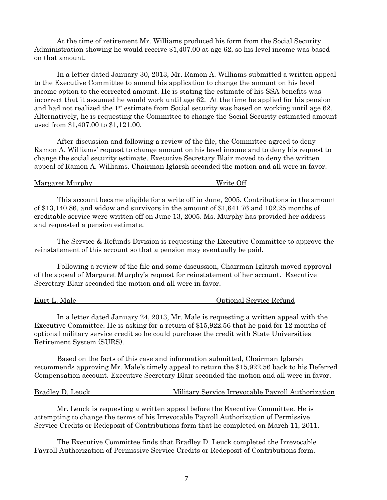At the time of retirement Mr. Williams produced his form from the Social Security Administration showing he would receive \$1,407.00 at age 62, so his level income was based on that amount.

 In a letter dated January 30, 2013, Mr. Ramon A. Williams submitted a written appeal to the Executive Committee to amend his application to change the amount on his level income option to the corrected amount. He is stating the estimate of his SSA benefits was incorrect that it assumed he would work until age 62. At the time he applied for his pension and had not realized the 1st estimate from Social security was based on working until age 62. Alternatively, he is requesting the Committee to change the Social Security estimated amount used from \$1,407.00 to \$1,121.00.

 After discussion and following a review of the file, the Committee agreed to deny Ramon A. Williams' request to change amount on his level income and to deny his request to change the social security estimate. Executive Secretary Blair moved to deny the written appeal of Ramon A. Williams. Chairman Iglarsh seconded the motion and all were in favor.

Margaret Murphy Write Off

 This account became eligible for a write off in June, 2005. Contributions in the amount of \$13,140.86, and widow and survivors in the amount of \$1,641.76 and 102.25 months of creditable service were written off on June 13, 2005. Ms. Murphy has provided her address and requested a pension estimate.

 The Service & Refunds Division is requesting the Executive Committee to approve the reinstatement of this account so that a pension may eventually be paid.

 Following a review of the file and some discussion, Chairman Iglarsh moved approval of the appeal of Margaret Murphy's request for reinstatement of her account. Executive Secretary Blair seconded the motion and all were in favor.

Kurt L. Male **Communist Communist Communist Communist Communist Communist Communist Communist Communist Communist Communist Communist Communist Communist Communist Communist Communist Communist Communist Communist Communis** 

 In a letter dated January 24, 2013, Mr. Male is requesting a written appeal with the Executive Committee. He is asking for a return of \$15,922.56 that he paid for 12 months of optional military service credit so he could purchase the credit with State Universities Retirement System (SURS).

 Based on the facts of this case and information submitted, Chairman Iglarsh recommends approving Mr. Male's timely appeal to return the \$15,922.56 back to his Deferred Compensation account. Executive Secretary Blair seconded the motion and all were in favor.

| Bradley D. Leuck | Military Service Irrevocable Payroll Authorization |
|------------------|----------------------------------------------------|
|                  |                                                    |

 Mr. Leuck is requesting a written appeal before the Executive Committee. He is attempting to change the terms of his Irrevocable Payroll Authorization of Permissive Service Credits or Redeposit of Contributions form that he completed on March 11, 2011.

 The Executive Committee finds that Bradley D. Leuck completed the Irrevocable Payroll Authorization of Permissive Service Credits or Redeposit of Contributions form.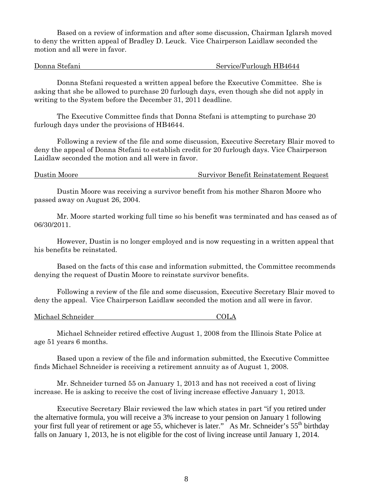Based on a review of information and after some discussion, Chairman Iglarsh moved to deny the written appeal of Bradley D. Leuck. Vice Chairperson Laidlaw seconded the motion and all were in favor.

Donna Stefani Service/Furlough HB4644

 Donna Stefani requested a written appeal before the Executive Committee. She is asking that she be allowed to purchase 20 furlough days, even though she did not apply in writing to the System before the December 31, 2011 deadline.

 The Executive Committee finds that Donna Stefani is attempting to purchase 20 furlough days under the provisions of HB4644.

 Following a review of the file and some discussion, Executive Secretary Blair moved to deny the appeal of Donna Stefani to establish credit for 20 furlough days. Vice Chairperson Laidlaw seconded the motion and all were in favor.

Dustin Moore Survivor Benefit Reinstatement Request

 Dustin Moore was receiving a survivor benefit from his mother Sharon Moore who passed away on August 26, 2004.

 Mr. Moore started working full time so his benefit was terminated and has ceased as of 06/30/2011.

 However, Dustin is no longer employed and is now requesting in a written appeal that his benefits be reinstated.

 Based on the facts of this case and information submitted, the Committee recommends denying the request of Dustin Moore to reinstate survivor benefits.

 Following a review of the file and some discussion, Executive Secretary Blair moved to deny the appeal. Vice Chairperson Laidlaw seconded the motion and all were in favor.

Michael Schneider COLA

 Michael Schneider retired effective August 1, 2008 from the Illinois State Police at age 51 years 6 months.

 Based upon a review of the file and information submitted, the Executive Committee finds Michael Schneider is receiving a retirement annuity as of August 1, 2008.

 Mr. Schneider turned 55 on January 1, 2013 and has not received a cost of living increase. He is asking to receive the cost of living increase effective January 1, 2013.

 Executive Secretary Blair reviewed the law which states in part "if you retired under the alternative formula, you will receive a 3% increase to your pension on January 1 following your first full year of retirement or age 55, whichever is later." As Mr. Schneider's 55<sup>th</sup> birthday falls on January 1, 2013, he is not eligible for the cost of living increase until January 1, 2014.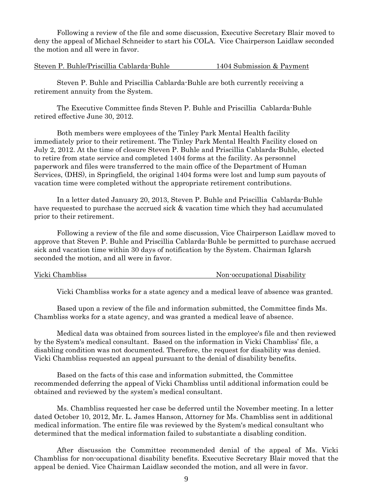Following a review of the file and some discussion, Executive Secretary Blair moved to deny the appeal of Michael Schneider to start his COLA. Vice Chairperson Laidlaw seconded the motion and all were in favor.

Steven P. Buhle/Priscillia Cablarda-Buhle 1404 Submission & Payment

 Steven P. Buhle and Priscillia Cablarda-Buhle are both currently receiving a retirement annuity from the System.

 The Executive Committee finds Steven P. Buhle and Priscillia Cablarda-Buhle retired effective June 30, 2012.

 Both members were employees of the Tinley Park Mental Health facility immediately prior to their retirement. The Tinley Park Mental Health Facility closed on July 2, 2012. At the time of closure Steven P. Buhle and Priscillia Cablarda-Buhle, elected to retire from state service and completed 1404 forms at the facility. As personnel paperwork and files were transferred to the main office of the Department of Human Services, (DHS), in Springfield, the original 1404 forms were lost and lump sum payouts of vacation time were completed without the appropriate retirement contributions.

 In a letter dated January 20, 2013, Steven P. Buhle and Priscillia Cablarda-Buhle have requested to purchase the accrued sick & vacation time which they had accumulated prior to their retirement.

 Following a review of the file and some discussion, Vice Chairperson Laidlaw moved to approve that Steven P. Buhle and Priscillia Cablarda-Buhle be permitted to purchase accrued sick and vacation time within 30 days of notification by the System. Chairman Iglarsh seconded the motion, and all were in favor.

Vicki Chambliss **Non-occupational Disability** 

Vicki Chambliss works for a state agency and a medical leave of absence was granted.

 Based upon a review of the file and information submitted, the Committee finds Ms. Chambliss works for a state agency, and was granted a medical leave of absence.

 Medical data was obtained from sources listed in the employee's file and then reviewed by the System's medical consultant. Based on the information in Vicki Chambliss' file, a disabling condition was not documented. Therefore, the request for disability was denied. Vicki Chambliss requested an appeal pursuant to the denial of disability benefits.

 Based on the facts of this case and information submitted, the Committee recommended deferring the appeal of Vicki Chambliss until additional information could be obtained and reviewed by the system's medical consultant.

 Ms. Chambliss requested her case be deferred until the November meeting. In a letter dated October 10, 2012, Mr. L. James Hanson, Attorney for Ms. Chambliss sent in additional medical information. The entire file was reviewed by the System's medical consultant who determined that the medical information failed to substantiate a disabling condition.

 After discussion the Committee recommended denial of the appeal of Ms. Vicki Chambliss for non-occupational disability benefits. Executive Secretary Blair moved that the appeal be denied. Vice Chairman Laidlaw seconded the motion, and all were in favor.